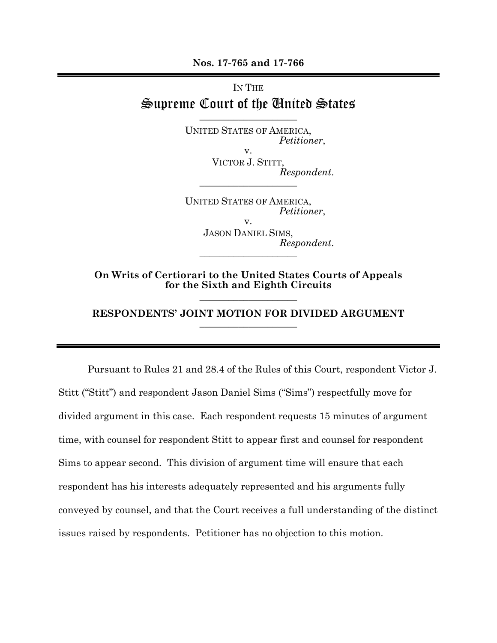**Nos. 17-765 and 17-766** 

## IN THE Supreme Court of the United States

 $\_$ 

UNITED STATES OF AMERICA, *Petitioner*, v.

VICTOR J. STITT, *Respondent*. \_\_\_\_\_\_\_\_\_\_\_\_\_\_\_\_\_\_\_\_

UNITED STATES OF AMERICA, *Petitioner*, v.

JASON DANIEL SIMS, *Respondent*. \_\_\_\_\_\_\_\_\_\_\_\_\_\_\_\_\_\_\_\_

**On Writs of Certiorari to the United States Courts of Appeals for the Sixth and Eighth Circuits**   $\_$ 

## **RESPONDENTS' JOINT MOTION FOR DIVIDED ARGUMENT**   $\_$

 Pursuant to Rules 21 and 28.4 of the Rules of this Court, respondent Victor J. Stitt ("Stitt") and respondent Jason Daniel Sims ("Sims") respectfully move for divided argument in this case. Each respondent requests 15 minutes of argument time, with counsel for respondent Stitt to appear first and counsel for respondent Sims to appear second. This division of argument time will ensure that each respondent has his interests adequately represented and his arguments fully conveyed by counsel, and that the Court receives a full understanding of the distinct issues raised by respondents. Petitioner has no objection to this motion.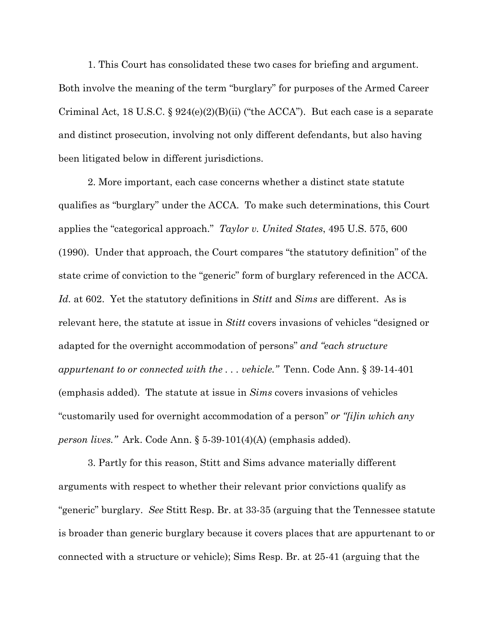1. This Court has consolidated these two cases for briefing and argument. Both involve the meaning of the term "burglary" for purposes of the Armed Career Criminal Act, 18 U.S.C. §  $924(e)(2)(B)(ii)$  ("the ACCA"). But each case is a separate and distinct prosecution, involving not only different defendants, but also having been litigated below in different jurisdictions.

2. More important, each case concerns whether a distinct state statute qualifies as "burglary" under the ACCA. To make such determinations, this Court applies the "categorical approach." *Taylor v. United States*, 495 U.S. 575, 600 (1990). Under that approach, the Court compares "the statutory definition" of the state crime of conviction to the "generic" form of burglary referenced in the ACCA. *Id.* at 602. Yet the statutory definitions in *Stitt* and *Sims* are different. As is relevant here, the statute at issue in *Stitt* covers invasions of vehicles "designed or adapted for the overnight accommodation of persons" *and "each structure appurtenant to or connected with the . . . vehicle."* Tenn. Code Ann. § 39-14-401 (emphasis added). The statute at issue in *Sims* covers invasions of vehicles "customarily used for overnight accommodation of a person" *or "[i]in which any person lives."* Ark. Code Ann. § 5-39-101(4)(A) (emphasis added).

3. Partly for this reason, Stitt and Sims advance materially different arguments with respect to whether their relevant prior convictions qualify as "generic" burglary. *See* Stitt Resp. Br. at 33-35 (arguing that the Tennessee statute is broader than generic burglary because it covers places that are appurtenant to or connected with a structure or vehicle); Sims Resp. Br. at 25-41 (arguing that the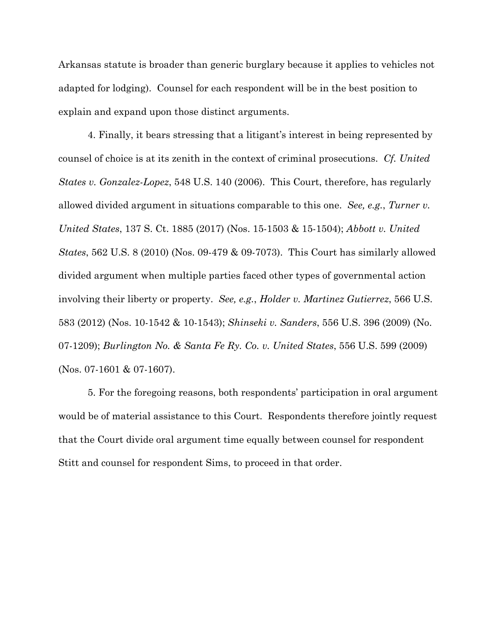Arkansas statute is broader than generic burglary because it applies to vehicles not adapted for lodging). Counsel for each respondent will be in the best position to explain and expand upon those distinct arguments.

4. Finally, it bears stressing that a litigant's interest in being represented by counsel of choice is at its zenith in the context of criminal prosecutions. *Cf. United States v. Gonzalez-Lopez*, 548 U.S. 140 (2006). This Court, therefore, has regularly allowed divided argument in situations comparable to this one. *See, e.g.*, *Turner v. United States*, 137 S. Ct. 1885 (2017) (Nos. 15-1503 & 15-1504); *Abbott v. United States*, 562 U.S. 8 (2010) (Nos. 09-479 & 09-7073). This Court has similarly allowed divided argument when multiple parties faced other types of governmental action involving their liberty or property. *See, e.g.*, *Holder v. Martinez Gutierrez*, 566 U.S. 583 (2012) (Nos. 10-1542 & 10-1543); *Shinseki v. Sanders*, 556 U.S. 396 (2009) (No. 07-1209); *Burlington No. & Santa Fe Ry. Co. v. United States*, 556 U.S. 599 (2009) (Nos. 07-1601 & 07-1607).

5. For the foregoing reasons, both respondents' participation in oral argument would be of material assistance to this Court. Respondents therefore jointly request that the Court divide oral argument time equally between counsel for respondent Stitt and counsel for respondent Sims, to proceed in that order.